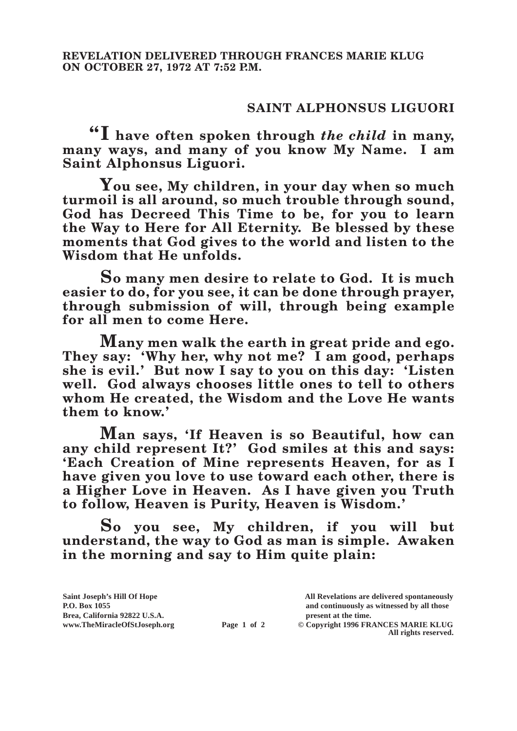## **SAINT ALPHONSUS LIGUORI**

**"I have often spoken through** *the child* **in many, many ways, and many of you know My Name. I am Saint Alphonsus Liguori.**

**You see, My children, in your day when so much turmoil is all around, so much trouble through sound, God has Decreed This Time to be, for you to learn the Way to Here for All Eternity. Be blessed by these moments that God gives to the world and listen to the Wisdom that He unfolds.**

**So many men desire to relate to God. It is much easier to do, for you see, it can be done through prayer, through submission of will, through being example for all men to come Here.**

**Many men walk the earth in great pride and ego. They say: 'Why her, why not me? I am good, perhaps she is evil.' But now I say to you on this day: 'Listen well. God always chooses little ones to tell to others whom He created, the Wisdom and the Love He wants them to know.'**

**Man says, 'If Heaven is so Beautiful, how can any child represent It?' God smiles at this and says: 'Each Creation of Mine represents Heaven, for as I have given you love to use toward each other, there is a Higher Love in Heaven. As I have given you Truth to follow, Heaven is Purity, Heaven is Wisdom.'**

**So you see, My children, if you will but understand, the way to God as man is simple. Awaken in the morning and say to Him quite plain:**

| Saint Joseph's Hill Of Hope   |             | All Revelations are delivered spontaneously |
|-------------------------------|-------------|---------------------------------------------|
| <b>P.O. Box 1055</b>          |             | and continuously as witnessed by all those  |
| Brea, California 92822 U.S.A. |             | present at the time.                        |
| www.TheMiracleOfStJoseph.org  | Page 1 of 2 | © Copyright 1996 FRANCES MARIE KLUG         |
|                               |             | All rights reserved.                        |